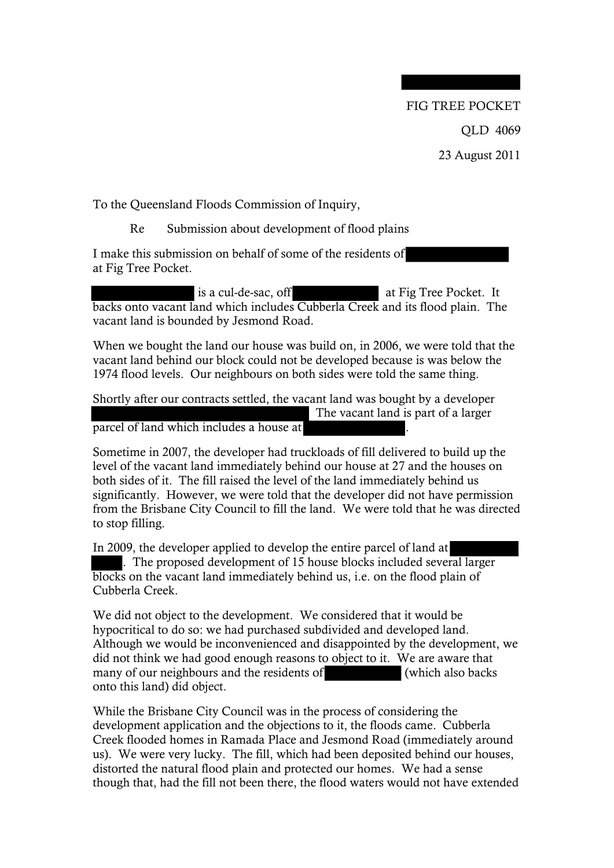FIG TREE POCKET QLD 4069 23 August 2011

To the Queensland Floods Commission of Inquiry,

Re Submission about development of flood plains

I make this submission on behalf of some of the residents of at Fig Tree Pocket.

is a cul-de-sac, off at Fig Tree Pocket. It backs onto vacant land which includes Cubberla Creek and its flood plain. The vacant land is bounded by Jesmond Road.

When we bought the land our house was build on, in 2006, we were told that the vacant land behind our block could not be developed because is was below the 1974 flood levels. Our neighbours on both sides were told the same thing.

Shortly after our contracts settled, the vacant land was bought by a developer The vacant land is part of a larger parcel of land which includes a house at

Sometime in 2007, the developer had truckloads of fill delivered to build up the level of the vacant land immediately behind our house at 27 and the houses on both sides of it. The fill raised the level of the land immediately behind us significantly. However, we were told that the developer did not have permission from the Brisbane City Council to fill the land. We were told that he was directed to stop filling.

In 2009, the developer applied to develop the entire parcel of land at . The proposed development of 15 house blocks included several larger blocks on the vacant land immediately behind us, i.e. on the flood plain of Cubberla Creek.

We did not object to the development. We considered that it would be hypocritical to do so: we had purchased subdivided and developed land. Although we would be inconvenienced and disappointed by the development, we did not think we had good enough reasons to object to it. We are aware that many of our neighbours and the residents of (which also backs) onto this land) did object.

While the Brisbane City Council was in the process of considering the development application and the objections to it, the floods came. Cubberla Creek flooded homes in Ramada Place and Jesmond Road (immediately around us). We were very lucky. The fill, which had been deposited behind our houses, distorted the natural flood plain and protected our homes. We had a sense though that, had the fill not been there, the flood waters would not have extended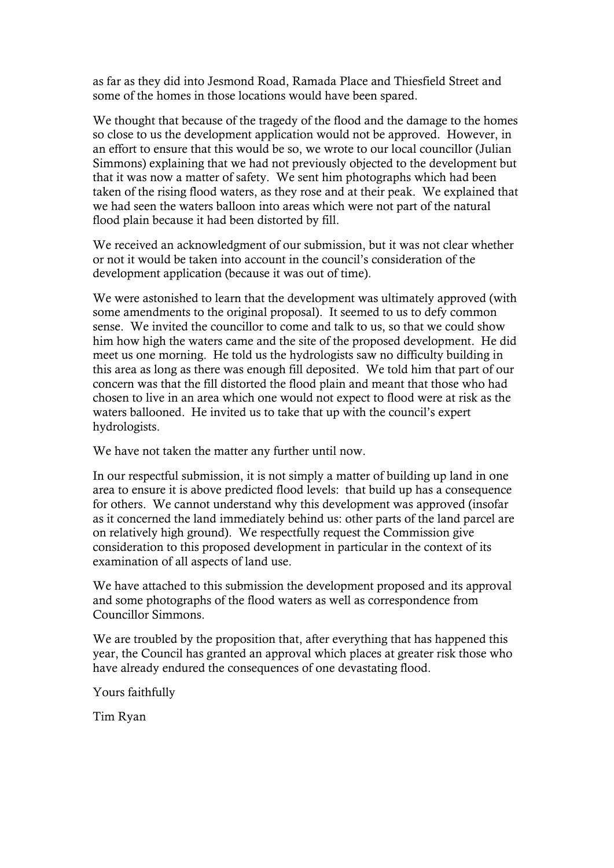as far as they did into Jesmond Road, Ramada Place and Thiesfield Street and some of the homes in those locations would have been spared.

We thought that because of the tragedy of the flood and the damage to the homes so close to us the development application would not be approved. However, in an effort to ensure that this would be so, we wrote to our local councillor (Julian Simmons) explaining that we had not previously objected to the development but that it was now a matter of safety. We sent him photographs which had been taken of the rising flood waters, as they rose and at their peak. We explained that we had seen the waters balloon into areas which were not part of the natural flood plain because it had been distorted by fill.

We received an acknowledgment of our submission, but it was not clear whether or not it would be taken into account in the council's consideration of the development application (because it was out of time).

We were astonished to learn that the development was ultimately approved (with some amendments to the original proposal). It seemed to us to defy common sense. We invited the councillor to come and talk to us, so that we could show him how high the waters came and the site of the proposed development. He did meet us one morning. He told us the hydrologists saw no difficulty building in this area as long as there was enough fill deposited. We told him that part of our concern was that the fill distorted the flood plain and meant that those who had chosen to live in an area which one would not expect to flood were at risk as the waters ballooned. He invited us to take that up with the council's expert hydrologists.

We have not taken the matter any further until now.

In our respectful submission, it is not simply a matter of building up land in one area to ensure it is above predicted flood levels: that build up has a consequence for others. We cannot understand why this development was approved (insofar as it concerned the land immediately behind us: other parts of the land parcel are on relatively high ground). We respectfully request the Commission give consideration to this proposed development in particular in the context of its examination of all aspects of land use.

We have attached to this submission the development proposed and its approval and some photographs of the flood waters as well as correspondence from Councillor Simmons.

We are troubled by the proposition that, after everything that has happened this year, the Council has granted an approval which places at greater risk those who have already endured the consequences of one devastating flood.

Yours faithfully

Tim Ryan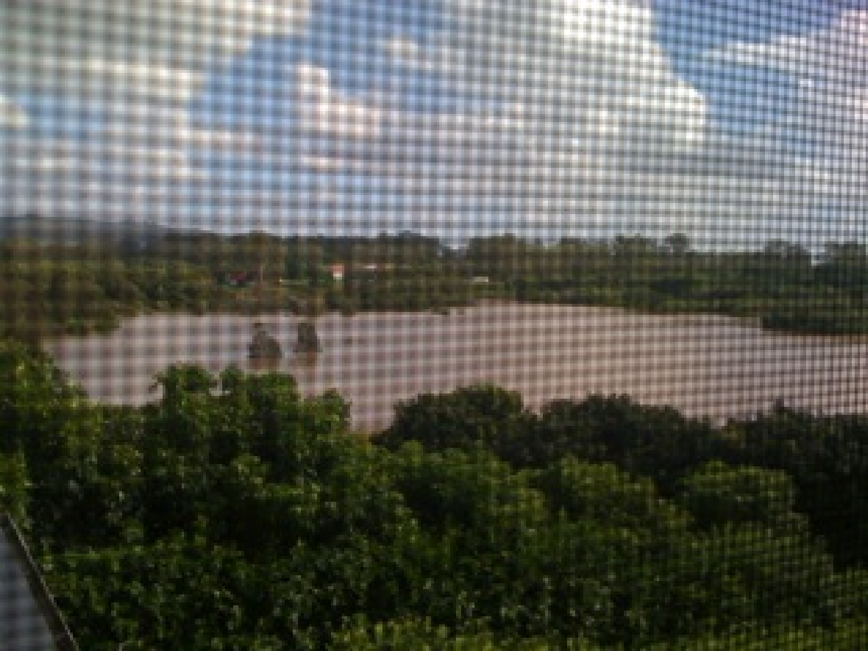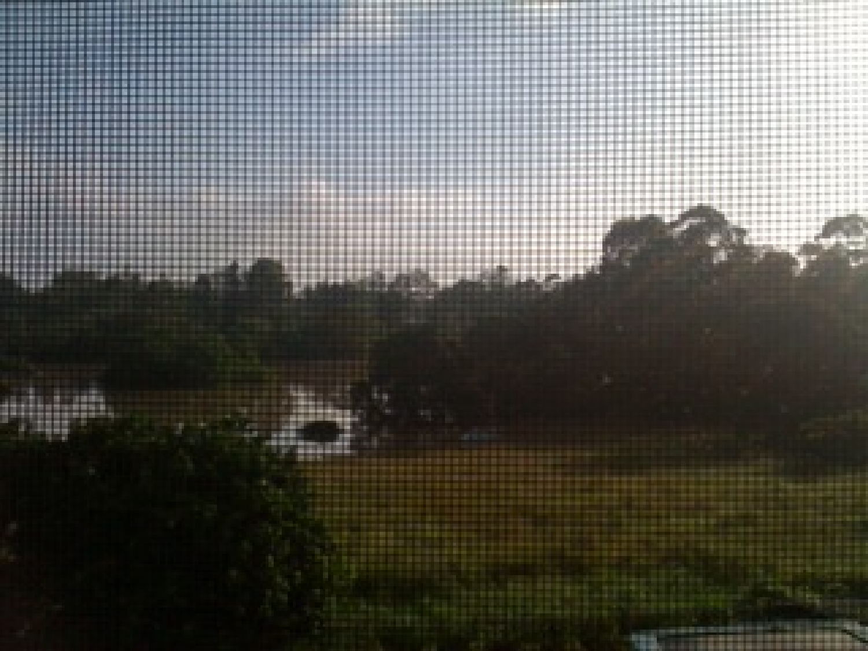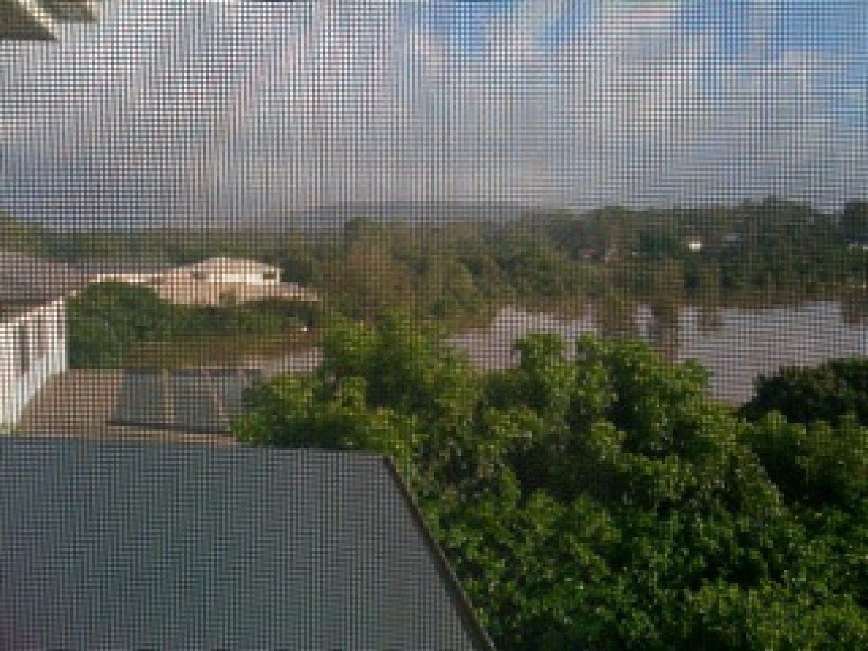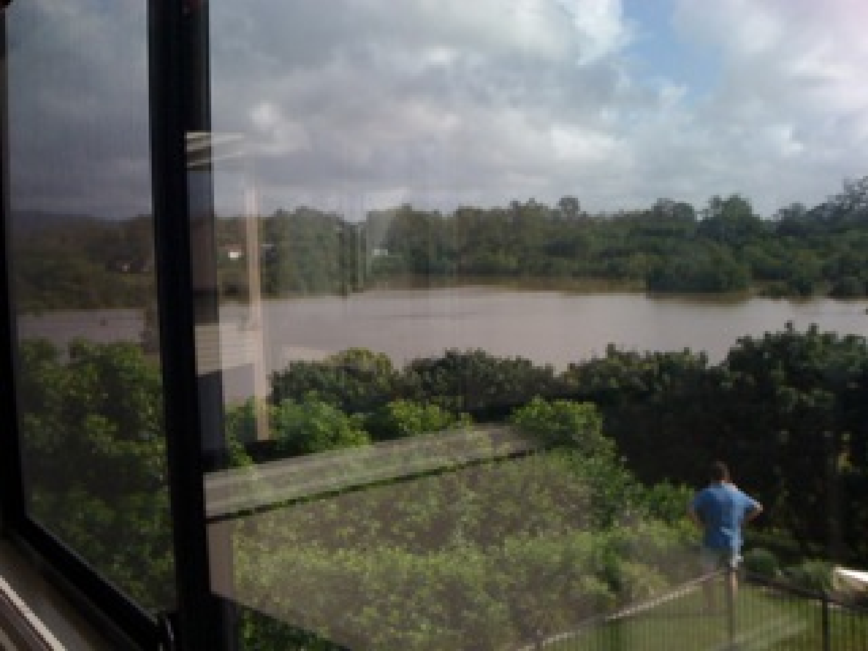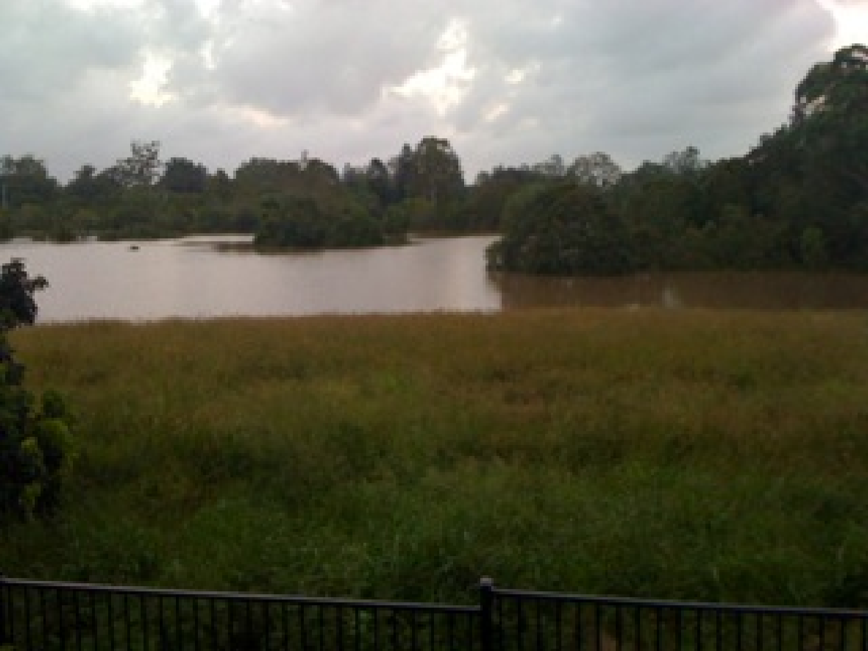